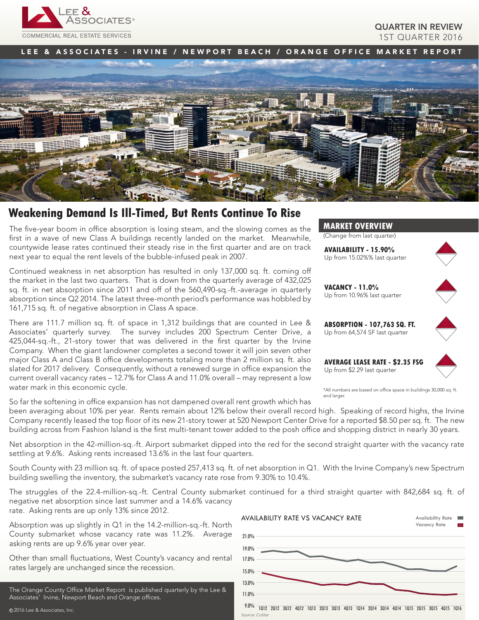

## QUARTER IN REVIEW 1ST QUARTER 2016

LEE & ASSOCIATES - IRVINE / NEWPORT BEACH / ORANGE OFFICE MARKET REPORT



# **Weakening Demand Is Ill-Timed, But Rents Continue To Rise**

The five-year boom in office absorption is losing steam, and the slowing comes as the first in a wave of new Class A buildings recently landed on the market. Meanwhile, countywide lease rates continued their steady rise in the first quarter and are on track next year to equal the rent levels of the bubble-infused peak in 2007.

Continued weakness in net absorption has resulted in only 137,000 sq. ft. coming off the market in the last two quarters. That is down from the quarterly average of 432,025 sq. ft. in net absorption since 2011 and off of the 560,490-sq.-ft.-average in quarterly absorption since Q2 2014. The latest three-month period's performance was hobbled by 161,715 sq. ft. of negative absorption in Class A space.

There are 111.7 million sq. ft. of space in 1,312 buildings that are counted in Lee & Associates' quarterly survey. The survey includes 200 Spectrum Center Drive, a 425,044-sq.-ft., 21-story tower that was delivered in the first quarter by the Irvine Company. When the giant landowner completes a second tower it will join seven other major Class A and Class B office developments totaling more than 2 million sq. ft. also slated for 2017 delivery. Consequently, without a renewed surge in office expansion the current overall vacancy rates – 12.7% for Class A and 11.0% overall – may represent a low water mark in this economic cycle.

So far the softening in office expansion has not dampened overall rent growth which has



(Change from last quarter)

**AVAILABILITY - 15.90%** Up from 15.02%% last quarter



**VACANCY - 11.0%** Up from 10.96% last quarter



**ABSORPTION - 107,763 SQ. FT.** Up from 64,574 SF last quarter

**AVERAGE LEASE RATE - \$2.35 FSG** Up from \$2.29 last quarter



\*All numbers are based on office space in buildings 30,000 sq. ft. and larger.

been averaging about 10% per year. Rents remain about 12% below their overall record high. Speaking of record highs, the Irvine Company recently leased the top floor of its new 21-story tower at 520 Newport Center Drive for a reported \$8.50 per sq. ft. The new building across from Fashion Island is the first multi-tenant tower added to the posh office and shopping district in nearly 30 years.

Net absorption in the 42-million-sq.-ft. Airport submarket dipped into the red for the second straight quarter with the vacancy rate settling at 9.6%. Asking rents increased 13.6% in the last four quarters.

South County with 23 million sq. ft. of space posted 257,413 sq. ft. of net absorption in Q1. With the Irvine Company's new Spectrum building swelling the inventory, the submarket's vacancy rate rose from 9.30% to 10.4%.

The struggles of the 22.4-million-sq.-ft. Central County submarket continued for a third straight quarter with 842,684 sq. ft. of negative net absorption since last summer and a 14.6% vacancy rate. Asking rents are up only 13% since 2012.

Absorption was up slightly in Q1 in the 14.2-million-sq.-ft. North County submarket whose vacancy rate was 11.2%. Average asking rents are up 9.6% year over year.

Other than small fluctuations, West County's vacancy and rental rates largely are unchanged since the recession.

The Orange County Office Market Report is published quarterly by the Lee & Associates' Irvine, Newport Beach and Orange offices.



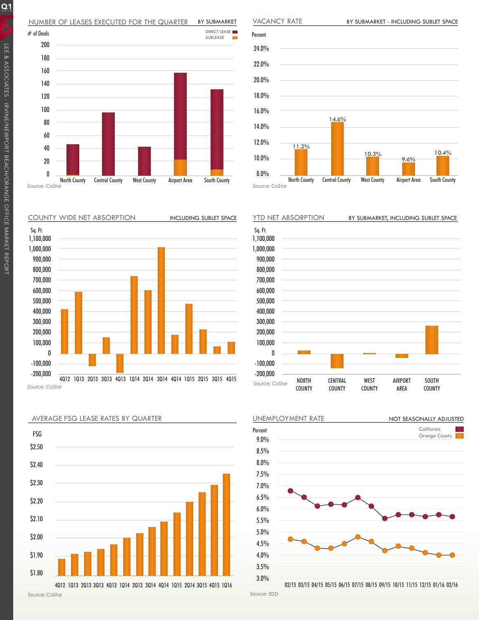## NUMBER OF LEASES EXECUTED FOR THE QUARTER BY SUBMARKET



COUNTY WIDE NET ABSORPTION







Percent 24.0% 22.0% 20.0% 18.0% 16.0% 14.0% 12.0% 10.0% 8.0% North County Central County West County Airport Area South County Source: CoStar 11.2% 10.3% 14.6% 10.4% 9.6%

VACANCY RATE

BY SUBMARKET - INCLUDING SUBLET SPACE





<sup>02/15</sup> 03/15 04/15 05/15 06/15 07/15 08/15 09/15 10/15 11/15 12/15 01/16 02/16

Source: EDD

 $Q_1$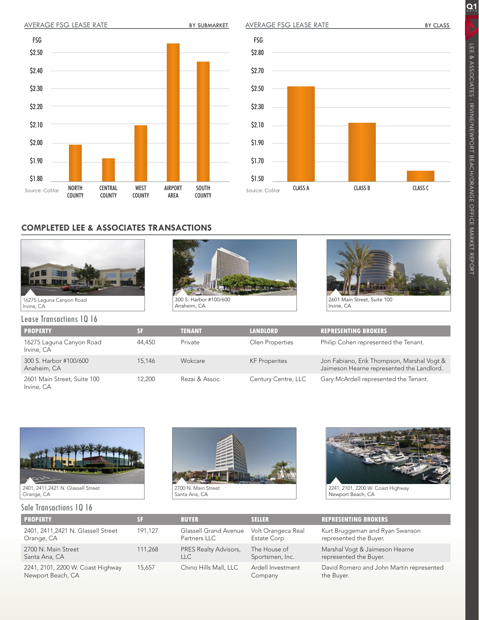



## **COMPLETED LEE & ASSOCIATES TRANSACTIONS**







Irvine, CA

Lease Transactions 1Q 16 **PROPERTY SF TENANT LANDLORD REPRESENTING BROKERS** 16275 Laguna Canyon Road Irvine, CA 44,450 Private Olen Properties Philip Cohen represented the Tenant. 300 S. Harbor #100/600 Anaheim, CA 15,146 Wokcare KF Properites Jon Fabiano, Erik Thompson, Marshal Vogt & Jaimeson Hearne represented the Landlord. 2601 Main Street, Suite 100 Irvine, CA 12,200 Rezai & Assoc. Century Centre, LLC Gary McArdell represented the Tenant.



## Sale Transactions 1Q 16





Newport Beach, CA

| <b>PROPERTY</b>                                        | SF      | <b>BUYER</b>                          | <b>SELLER</b>                     | <b>REPRESENTING BROKERS</b>                               |
|--------------------------------------------------------|---------|---------------------------------------|-----------------------------------|-----------------------------------------------------------|
| 2401, 2411, 2421 N. Glassell Street<br>Orange, CA      | 191.127 | Glassell Grand Avenue<br>Partners LLC | Volt Orangeca Real<br>Estate Corp | Kurt Bruggeman and Ryan Swanson<br>represented the Buyer. |
| 2700 N. Main Street<br>Santa Ana, CA                   | 111.268 | PRES Realty Advisors,<br><b>LLC</b>   | The House of<br>Sportsmen, Inc.   | Marshal Vogt & Jaimeson Hearne<br>represented the Buyer.  |
| 2241, 2101, 2200 W. Coast Highway<br>Newport Beach, CA | 15.657  | Chino Hills Mall, LLC                 | Ardell Investment<br>Company      | David Romero and John Martin represented<br>the Buyer.    |

 $\overline{Q_1}$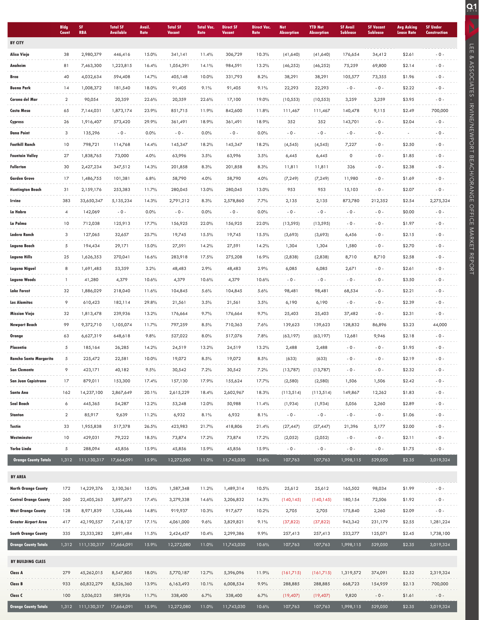|                             | <b>Bldg</b><br>Count | SF.<br><b>RBA</b>       | <b>Total SF</b><br><b>Available</b> | Avail.<br>Rate | <b>Total SF</b><br><b>Vacant</b> | <b>Total Vac.</b><br>Rate | <b>Direct SF</b><br><b>Vacant</b> | <b>Direct Vac.</b><br><b>Rate</b> | <b>Net</b><br><b>Absorption</b> | <b>YTD Net</b><br><b>Absorption</b> | <b>SF Avail</b><br><b>Sublease</b> | <b>SF Vacant</b><br><b>Sublease</b> | <b>Avg Asking</b><br><b>Lease Rate</b> | <b>SF Under</b><br><b>Construction</b> |
|-----------------------------|----------------------|-------------------------|-------------------------------------|----------------|----------------------------------|---------------------------|-----------------------------------|-----------------------------------|---------------------------------|-------------------------------------|------------------------------------|-------------------------------------|----------------------------------------|----------------------------------------|
| <b>BY CITY</b>              |                      |                         |                                     |                |                                  |                           |                                   |                                   |                                 |                                     |                                    |                                     |                                        |                                        |
| <b>Aliso Viejo</b>          | 38                   | 2,980,379               | 446,416                             | 15.0%          | 341,141                          | 11.4%                     | 306,729                           | 10.3%                             | (41,640)                        | (41,640)                            | 176,654                            | 34,412                              | \$2.61                                 | $-0 -$                                 |
| Anaheim                     | 81                   | 7,463,300               | 1,223,815                           | 16.4%          | 1,054,391                        | 14.1%                     | 984,591                           | 13.2%                             | (46, 252)                       | (46, 252)                           | 75,259                             | 69,800                              | \$2.14                                 | $-0 -$                                 |
| Brea                        | 40                   | 4,032,634               | 594,408                             | 14.7%          | 405,148                          | 10.0%                     | 331,793                           | 8.2%                              | 38,291                          | 38,291                              | 105,577                            | 73,355                              | \$1.96                                 | $-0 -$                                 |
| <b>Buena Park</b>           | 14                   | 1,008,372               | 181,540                             | 18.0%          | 91,405                           | 9.1%                      | 91,405                            | 9.1%                              | 22,293                          | 22,293                              | $-0-$                              | $-0 -$                              | \$2.22                                 | $-0 -$                                 |
| Corona del Mar              | $\overline{2}$       | 90,054                  | 20,359                              | 22.6%          | 20,359                           | 22.6%                     | 17,100                            | 19.0%                             | (10, 553)                       | (10, 553)                           | 3,259                              | 3,259                               | \$3.95                                 | $-0 -$                                 |
| Costa Mesa                  | 65                   | 7,144,031               | 1,873,174                           | 23.9%          | 851,715                          | 11.9%                     | 842,600                           | 11.8%                             | 111,467                         | 111,467                             | 140,478                            | 9,115                               | \$2.49                                 | 700,000                                |
| Cypress                     | 26                   | 1,916,407               | 573,420                             | 29.9%          | 361,491                          | 18.9%                     | 361,491                           | 18.9%                             | 352                             | 352                                 | 143,701                            | $-0 -$                              | \$2.04                                 | $-0 -$                                 |
| <b>Dana Point</b>           | 3                    | 135,296                 | $-0 -$                              | 0.0%           | $-0 -$                           | 0.0%                      | $-0 -$                            | 0.0%                              | $-0 -$                          | $-0 -$                              | $-0 -$                             | $-0 -$                              |                                        | $-0 -$                                 |
| <b>Foothill Ranch</b>       | 10                   | 798,721                 | 114,768                             | 14.4%          | 145,347                          | 18.2%                     | 145,347                           | 18.2%                             | (4, 545)                        | (4, 545)                            | 7,227                              | $-0 -$                              | \$2.50                                 | $-0 -$                                 |
| Fountain Valley             | 27                   | 1,838,765               | 73,000                              | 4.0%           | 63,996                           | 3.5%                      | 63,996                            | 3.5%                              | 6,445                           | 6,445                               | 0                                  | $-0 -$                              | \$1.85                                 | $-0 -$                                 |
| <b>Fullerton</b>            | 30                   | 2,427,234               | 347,512                             | 14.3%          | 201,858                          | 8.3%                      | 201,858                           | 8.3%                              | 11,811                          | 11,811                              | 326                                | $-0 -$                              | \$2.38                                 | $-0 -$                                 |
| <b>Garden Grove</b>         | 17                   | 1,486,755               | 101,381                             | 6.8%           | 58,790                           | 4.0%                      | 58,790                            | 4.0%                              |                                 |                                     | 11,980                             | $-0 -$                              | \$1.69                                 | $-0 -$                                 |
|                             | 31                   |                         |                                     |                |                                  |                           |                                   | 13.0%                             | (7, 249)<br>953                 | (7, 249)<br>953                     |                                    | $-0 -$                              | \$2.07                                 | $-0 -$                                 |
| <b>Huntington Beach</b>     |                      | 2,159,176<br>33,650,347 | 253,383                             | 11.7%          | 280,045                          | 13.0%                     | 280,045                           |                                   |                                 |                                     | 15,103                             |                                     |                                        |                                        |
| Irvine                      | 383                  |                         | 5,135,234                           | 14.3%          | 2,791,212                        | 8.3%                      | 2,578,860                         | 7.7%                              | 2,135                           | 2,135                               | 873,780                            | 212,352                             | \$2.54                                 | 2,275,324                              |
| La Habra                    | 4                    | 142,069                 | $-0 -$                              | 0.0%           | $-0 -$                           | 0.0%                      | $-0 -$                            | 0.0%                              | $-0 -$                          | $-0 -$                              | $-0 -$                             | $-0 -$                              | \$0.00                                 | $-0 -$                                 |
| La Palma                    | 10                   | 712,038                 | 125,913                             | 17.7%          | 156,925                          | 22.0%                     | 156,925                           | 22.0%                             | (13, 595)                       | (13, 595)                           | $-0-$                              | $-0 -$                              | \$1.97                                 | $-0 -$                                 |
| Ladera Ranch                | 3                    | 127,065                 | 32,657                              | 25.7%          | 19,745                           | 15.5%                     | 19,745                            | 15.5%                             | (3,693)                         | (3,693)                             | 6,456                              | $-0 -$                              | \$2.15                                 | $-0 -$                                 |
| Laguna Beach                | 5                    | 194,434                 | 29,171                              | 15.0%          | 27,591                           | 14.2%                     | 27,591                            | 14.2%                             | 1,304                           | 1,304                               | 1,580                              | $-0 -$                              | \$2.70                                 | $-0 -$                                 |
| Laguna Hills                | 25                   | 1,626,353               | 270,041                             | 16.6%          | 283,918                          | 17.5%                     | 275,208                           | 16.9%                             | (2,838)                         | (2,838)                             | 8,710                              | 8,710                               | \$2.58                                 | $-0 -$                                 |
| Laguna Niguel               | 8                    | 1,691,485               | 53,359                              | 3.2%           | 48,483                           | 2.9%                      | 48,483                            | 2.9%                              | 6,085                           | 6,085                               | 2,671                              | $-0 -$                              | \$2.61                                 | $-0 -$                                 |
| <b>Laguna Woods</b>         | $\mathbf{1}$         | 41,280                  | 4,379                               | 10.6%          | 4,379                            | 10.6%                     | 4,379                             | 10.6%                             | $-0 -$                          | $-0 -$                              | $-0-$                              | $-0 -$                              | \$3.50                                 | $-0 -$                                 |
| <b>Lake Forest</b>          | 32                   | 1,886,029               | 218,040                             | 11.6%          | 104,845                          | 5.6%                      | 104,845                           | 5.6%                              | 98,481                          | 98,481                              | 68,534                             | $-0 -$                              | \$2.21                                 | $-0 -$                                 |
| <b>Los Alamitos</b>         | 9                    | 610,423                 | 182,114                             | 29.8%          | 21,561                           | 3.5%                      | 21,561                            | 3.5%                              | 6,190                           | 6,190                               | $-0-$                              | $-0 -$                              | \$2.39                                 | $-0 -$                                 |
| <b>Mission Viejo</b>        | 32                   | 1,813,478               | 239,936                             | 13.2%          | 176,664                          | 9.7%                      | 176,664                           | 9.7%                              | 25,403                          | 25,403                              | 37,482                             | $-0 -$                              | \$2.31                                 | $-0 -$                                 |
| <b>Newport Beach</b>        | 99                   | 9,372,710               | 1,105,074                           | 11.7%          | 797,259                          | 8.5%                      | 710,363                           | 7.6%                              | 139,623                         | 139,623                             | 128,832                            | 86,896                              | \$3.23                                 | 44,000                                 |
| Orange                      | 63                   | 6,627,319               | 648,618                             | 9.8%           | 527,022                          | 8.0%                      | 517,076                           | 7.8%                              | (63, 197)                       | (63, 197)                           | 12,681                             | 9,946                               | \$2.18                                 | $-0 -$                                 |
| Placentia                   | 5                    | 185,164                 | 26,285                              | 14.2%          | 24,519                           | 13.2%                     | 24,519                            | 13.2%                             | 2,488                           | 2,488                               | $-0-$                              | $-0 -$                              | \$1.95                                 | $-0 -$                                 |
| Rancho Santa Margarita      | 5                    | 225,472                 | 22,581                              | 10.0%          | 19,072                           | 8.5%                      | 19,072                            | 8.5%                              | (633)                           | (633)                               | $-0-$                              | $-0 -$                              | \$2.19                                 | $-0 -$                                 |
| <b>San Clemente</b>         | 9                    | 423,171                 | 40,182                              | 9.5%           | 30,542                           | 7.2%                      | 30,542                            | 7.2%                              | (13,787)                        | (13,787)                            | $-0-$                              | $-0 -$                              | \$2.32                                 | $-0 -$                                 |
| San Juan Capistrano         | 17                   | 879,011                 | 153,300                             | 17.4%          | 157,130                          | 17.9%                     | 155,624                           | 17.7%                             | (2,580)                         | (2,580)                             | 1,506                              | 1,506                               | \$2.42                                 | $-0 -$                                 |
| Santa Ana                   | 162                  | 14,237,100              | 2,867,649                           | 20.1%          | 2,615,229                        | 18.4%                     | 2,602,967                         | 18.3%                             | (113,514)                       | (113,514)                           | 149,867                            | 12,262                              | \$1.83                                 | $-0-$                                  |
| Seal Beach                  | 6                    | 445,365                 | 54,287                              | 12.2%          | 53,248                           | 12.0%                     | 50,988                            | 11.4%                             | (1,934)                         | (1,934)                             | 5,056                              | 2,260                               | \$2.89                                 | $-0-$                                  |
| Stanton                     | $\overline{2}$       | 85,917                  | 9,639                               | 11.2%          | 6,932                            | 8.1%                      | 6,932                             | 8.1%                              | $-0 -$                          | $-0 -$                              | $-0 -$                             | $-0-$                               | \$1.06                                 | $-0 -$                                 |
| Tustin                      | 33                   | 1,955,838               | 517,378                             | 26.5%          | 423,983                          | 21.7%                     | 418,806                           | 21.4%                             | (27, 447)                       | (27, 447)                           | 21,396                             | 5,177                               | \$2.00                                 | $-0-$                                  |
| Westminster                 | 10                   | 429,031                 | 79,222                              | 18.5%          | 73,874                           | 17.2%                     | 73,874                            | 17.2%                             | (2,052)                         | (2,052)                             | $-0-$                              | $-0 -$                              | \$2.11                                 | $-0-$                                  |
| Yorba Linda                 | 5                    | 288,094                 | 45,856                              | 15.9%          | 45,856                           | 15.9%                     | 45,856                            | 15.9%                             | $-0 -$                          | $-0 -$                              | $-0 -$                             | $-0 -$                              | \$1.75                                 | $-0-$                                  |
| <b>Orange County Totals</b> | 1,312                | 111,130,317             | 17,664,091                          | 15.9%          | 12,272,080                       | 11.0%                     | 11,743,030                        | 10.6%                             | 107,763                         | 107,763                             | 1,998,115                          | 529,050                             | \$2.35                                 | 3,019,324                              |
| <b>BY AREA</b>              |                      |                         |                                     |                |                                  |                           |                                   |                                   |                                 |                                     |                                    |                                     |                                        |                                        |
| <b>North Orange County</b>  | 172                  | 14,229,376              | 2,130,361                           | 15.0%          | 1,587,348                        | 11.2%                     | 1,489,314                         | 10.5%                             | 25,612                          | 25,612                              | 165,502                            | 98,034                              | \$1.99                                 | $-0 -$                                 |
| Central Orange County       | 260                  | 22,405,263              | 3,897,673                           | 17.4%          | 3,279,338                        | 14.6%                     | 3,206,832                         | 14.3%                             | (140, 145)                      | (140, 145)                          | 180,154                            | 72,506                              | \$1.92                                 | $-0 -$                                 |
| West Orange County          | 128                  | 8,971,839               | 1,326,446                           | 14.8%          | 919,937                          | 10.3%                     | 917,677                           | 10.2%                             | 2,705                           | 2,705                               | 175,840                            | 2,260                               | \$2.09                                 | $-0 -$                                 |
| Greater Airport Area        | 417                  | 42,190,557              | 7,418,127                           | 17.1%          | 4,061,000                        | 9.6%                      | 3,829,821                         | 9.1%                              | (37, 822)                       | (37, 822)                           | 943,342                            | 231,179                             | \$2.55                                 | 1,281,224                              |
| <b>South Orange County</b>  | 335                  | 23,333,282              | 2,891,484                           | 11.5%          | 2,424,457                        | 10.4%                     | 2,299,386                         | 9.9%                              | 257,413                         | 257,413                             | 533,277                            | 125,071                             | \$2.45                                 | 1,738,100                              |
| <b>Orange County Totals</b> | 1,312                | 111,130,317             | 17,664,091                          | 15.9%          | 12,272,080                       | 11.0%                     | 11,743,030                        | 10.6%                             | 107,763                         | 107,763                             | 1,998,115                          | 529,050                             | \$2.35                                 | 3,019,324                              |
|                             |                      |                         |                                     |                |                                  |                           |                                   |                                   |                                 |                                     |                                    |                                     |                                        |                                        |
| BY BUILDING CLASS           |                      |                         |                                     |                |                                  |                           |                                   |                                   |                                 |                                     |                                    |                                     |                                        |                                        |
| Class A                     | 279                  | 45,262,015              | 8,547,805                           | 18.0%          | 5,770,187                        | 12.7%                     | 5,396,096                         | 11.9%                             | (161,715)                       | (161,715)                           | 1,319,572                          | 374,091                             | \$2.52                                 | 2,319,324                              |
| Class B                     | 933                  | 60,832,279              | 8,526,360                           | 13.9%          | 6,163,493                        | 10.1%                     | 6,008,534                         | 9.9%                              | 288,885                         | 288,885                             | 668,723                            | 154,959                             | \$2.13                                 | 700,000                                |
| Class C                     | 100                  | 5,036,023               | 589,926                             | 11.7%          | 338,400                          | 6.7%                      | 338,400                           | 6.7%                              | (19, 407)                       | (19, 407)                           | 9,820                              | $-0 -$                              | \$1.61                                 | $-0 -$                                 |
| <b>Orange County Totals</b> | 1,312                | 111,130,317             | 17,664,091                          | 15.9%          | 12,272,080                       | 11.0%                     | 11,743,030                        | 10.6%                             | 107,763                         | 107,763                             | 1,998,115                          | 529,050                             | \$2.35                                 | 3,019,324                              |

LEE & ASSOCIATES - IRVINE/NEWPORT BEACH/ORANGE OFFICE MARKET REPORT

**CHE ANSOCIATES - IRVINEWPORT BEACH/ORANGE OFFICE MARKET REPORT**